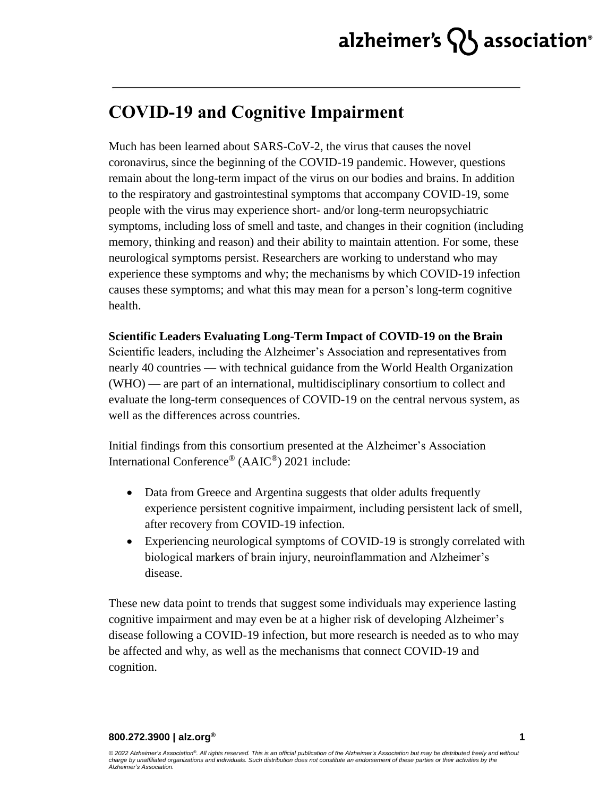### **COVID-19 and Cognitive Impairment**

Much has been learned about SARS-CoV-2, the virus that causes the novel coronavirus, since the beginning of the COVID-19 pandemic. However, questions remain about the long-term impact of the virus on our bodies and brains. In addition to the respiratory and gastrointestinal symptoms that accompany COVID-19, some people with the virus may experience short- and/or long-term neuropsychiatric symptoms, including loss of smell and taste, and changes in their cognition (including memory, thinking and reason) and their ability to maintain attention. For some, these neurological symptoms persist. Researchers are working to understand who may experience these symptoms and why; the mechanisms by which COVID-19 infection causes these symptoms; and what this may mean for a person's long-term cognitive health.

### **Scientific Leaders Evaluating Long-Term Impact of COVID-19 on the Brain**

Scientific leaders, including the Alzheimer's Association and representatives from nearly 40 countries — with technical guidance from the World Health Organization (WHO) — are part of an international, multidisciplinary consortium to collect and evaluate the long-term consequences of COVID-19 on the central nervous system, as well as the differences across countries.

Initial findings from this consortium presented at the Alzheimer's Association International Conference® (AAIC®) 2021 include:

- Data from Greece and Argentina suggests that older adults frequently experience persistent cognitive impairment, including persistent lack of smell, after recovery from COVID-19 infection.
- Experiencing neurological symptoms of COVID-19 is strongly correlated with biological markers of brain injury, neuroinflammation and Alzheimer's disease.

These new data point to trends that suggest some individuals may experience lasting cognitive impairment and may even be at a higher risk of developing Alzheimer's disease following a COVID-19 infection, but more research is needed as to who may be affected and why, as well as the mechanisms that connect COVID-19 and cognition.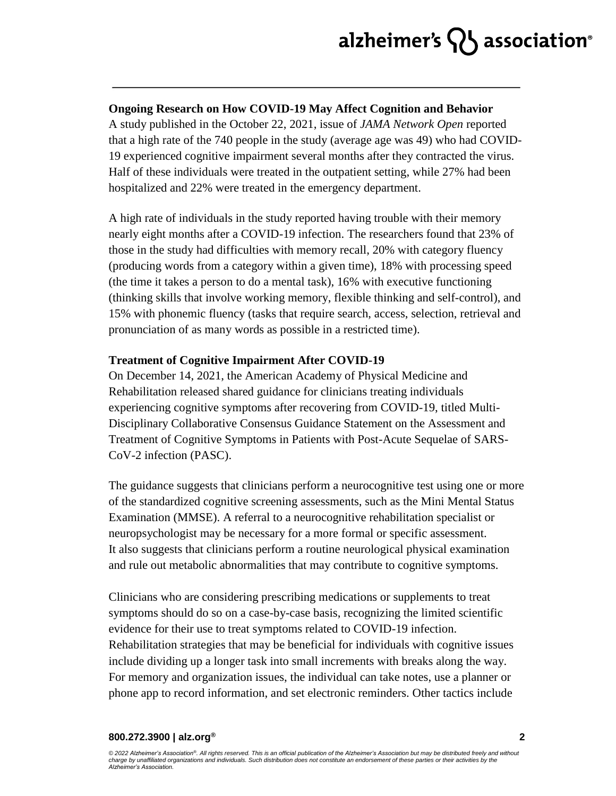# alzheimer's  $\{ \}$  association<sup>®</sup>

#### **Ongoing Research on How COVID-19 May Affect Cognition and Behavior**

A study published in the October 22, 2021, issue of *JAMA Network Open* reported that a high rate of the 740 people in the study (average age was 49) who had COVID-19 experienced cognitive impairment several months after they contracted the virus. Half of these individuals were treated in the outpatient setting, while 27% had been hospitalized and 22% were treated in the emergency department.

A high rate of individuals in the study reported having trouble with their memory nearly eight months after a COVID-19 infection. The researchers found that 23% of those in the study had difficulties with memory recall, 20% with category fluency (producing words from a category within a given time), 18% with processing speed (the time it takes a person to do a mental task), 16% with executive functioning (thinking skills that involve working memory, flexible thinking and self-control), and 15% with phonemic fluency (tasks that require search, access, selection, retrieval and pronunciation of as many words as possible in a restricted time).

#### **Treatment of Cognitive Impairment After COVID-19**

On December 14, 2021, the American Academy of Physical Medicine and Rehabilitation released shared guidance for clinicians treating individuals experiencing cognitive symptoms after recovering from COVID-19, titled Multi-Disciplinary Collaborative Consensus Guidance Statement on the Assessment and Treatment of Cognitive Symptoms in Patients with Post-Acute Sequelae of SARS-CoV-2 infection (PASC).

The guidance suggests that clinicians perform a neurocognitive test using one or more of the standardized cognitive screening assessments, such as the Mini Mental Status Examination (MMSE). A referral to a neurocognitive rehabilitation specialist or neuropsychologist may be necessary for a more formal or specific assessment. It also suggests that clinicians perform a routine neurological physical examination and rule out metabolic abnormalities that may contribute to cognitive symptoms.

Clinicians who are considering prescribing medications or supplements to treat symptoms should do so on a case-by-case basis, recognizing the limited scientific evidence for their use to treat symptoms related to COVID-19 infection. Rehabilitation strategies that may be beneficial for individuals with cognitive issues include dividing up a longer task into small increments with breaks along the way. For memory and organization issues, the individual can take notes, use a planner or phone app to record information, and set electronic reminders. Other tactics include

#### **800.272.3900 | alz.org®**